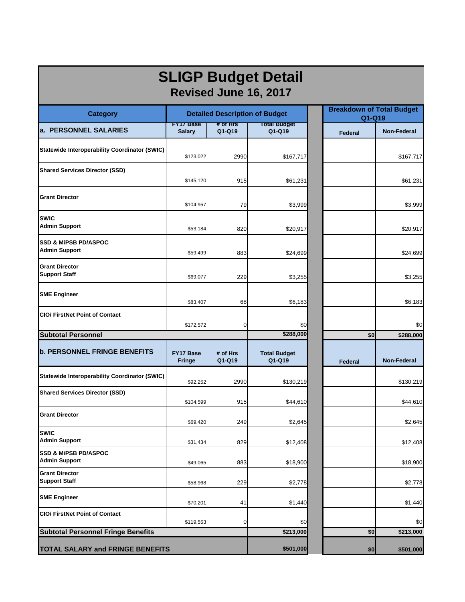| <b>SLIGP Budget Detail</b><br>Revised June 16, 2017     |                                       |                    |                               |                |                                            |  |  |
|---------------------------------------------------------|---------------------------------------|--------------------|-------------------------------|----------------|--------------------------------------------|--|--|
| <b>Category</b>                                         | <b>Detailed Description of Budget</b> |                    |                               |                | <b>Breakdown of Total Budget</b><br>Q1-Q19 |  |  |
| a. PERSONNEL SALARIES                                   | <b>FYT7 Base</b><br><b>Salary</b>     | # OT HIS<br>Q1-Q19 | <b>Total Budget</b><br>Q1-Q19 | <b>Federal</b> | <b>Non-Federal</b>                         |  |  |
| <b>Statewide Interoperability Coordinator (SWIC)</b>    | \$123,022                             | 2990               | \$167,717                     |                | \$167,717                                  |  |  |
| <b>Shared Services Director (SSD)</b>                   | \$145,120                             | 915                | \$61,231                      |                | \$61,231                                   |  |  |
| <b>Grant Director</b>                                   | \$104,957                             | 79                 | \$3,999                       |                | \$3,999                                    |  |  |
| <b>SWIC</b><br><b>Admin Support</b>                     | \$53,184                              | 820                | \$20,917                      |                | \$20,917                                   |  |  |
| <b>SSD &amp; MIPSB PD/ASPOC</b><br><b>Admin Support</b> | \$59,499                              | 883                | \$24,699                      |                | \$24,699                                   |  |  |
| <b>Grant Director</b><br><b>Support Staff</b>           | \$69,077                              | 229                | \$3,255                       |                | \$3,255                                    |  |  |
| <b>SME Engineer</b>                                     | \$83,407                              | 68                 | \$6,183                       |                | \$6,183                                    |  |  |
| <b>CIO/ FirstNet Point of Contact</b>                   | \$172,572                             | ∩                  | \$0                           |                | \$0                                        |  |  |
| <b>Subtotal Personnel</b>                               |                                       |                    | \$288,000                     | \$0            | \$288,000                                  |  |  |
| <b>b. PERSONNEL FRINGE BENEFITS</b>                     | <b>FY17 Base</b><br><b>Fringe</b>     | # of Hrs<br>Q1-Q19 | <b>Total Budget</b><br>Q1-Q19 | <b>Federal</b> | <b>Non-Federal</b>                         |  |  |
| <b>Statewide Interoperability Coordinator (SWIC)</b>    | \$92,252                              | 2990               | \$130,219                     |                | \$130,219                                  |  |  |
| <b>Shared Services Director (SSD)</b>                   | \$104,599                             | 915                | \$44,610                      |                | \$44,610                                   |  |  |
| <b>Grant Director</b>                                   | \$69,420                              | 249                | \$2,645                       |                | \$2,645                                    |  |  |
| <b>SWIC</b><br><b>Admin Support</b>                     | \$31,434                              | 829                | \$12,408                      |                | \$12,408                                   |  |  |
| <b>SSD &amp; MIPSB PD/ASPOC</b><br><b>Admin Support</b> | \$49,065                              | 883                | \$18,900                      |                | \$18,900                                   |  |  |
| <b>Grant Director</b><br><b>Support Staff</b>           | \$58,968                              | 229                | \$2,778                       |                | \$2,778                                    |  |  |
| <b>SME Engineer</b>                                     | \$70,201                              | 41                 | \$1,440                       |                | \$1,440                                    |  |  |
| <b>CIO/ FirstNet Point of Contact</b>                   | \$119,553                             | 0                  | \$0                           |                | \$0                                        |  |  |
| <b>Subtotal Personnel Fringe Benefits</b>               |                                       |                    | \$213,000                     | \$0            | \$213,000                                  |  |  |
| <b>TOTAL SALARY and FRINGE BENEFITS</b>                 |                                       |                    | \$501,000                     | \$0            | \$501,000                                  |  |  |

г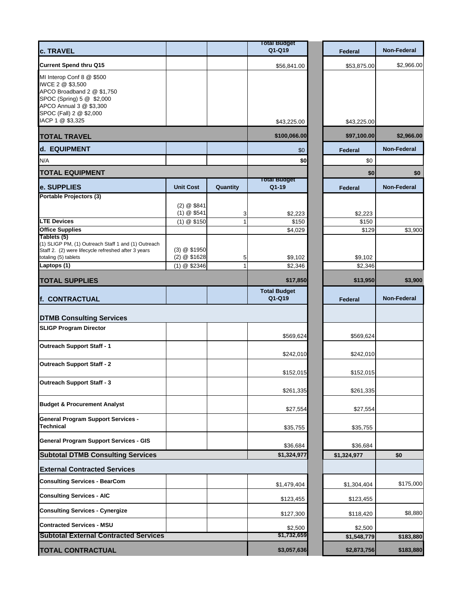|                                                                                                                                                                  |                                              |                   | <b>Total Budget</b>          |                    |                    |
|------------------------------------------------------------------------------------------------------------------------------------------------------------------|----------------------------------------------|-------------------|------------------------------|--------------------|--------------------|
| <b>c. TRAVEL</b>                                                                                                                                                 |                                              |                   | Q1-Q19                       | <b>Federal</b>     | <b>Non-Federal</b> |
| <b>Current Spend thru Q15</b>                                                                                                                                    |                                              |                   | \$56,841.00                  | \$53,875.00        | \$2,966.00         |
| MI Interop Conf 8 @ \$500<br>IWCE 2 @ \$3,500<br>APCO Broadband 2 @ \$1,750<br>SPOC (Spring) 5 @ \$2,000<br>APCO Annual 3 @ \$3,300<br>SPOC (Fall) 2 @ \$2,000   |                                              |                   |                              |                    |                    |
| IACP 1 @ \$3,325                                                                                                                                                 |                                              |                   | \$43,225.00                  | \$43,225.00        |                    |
| <b>TOTAL TRAVEL</b>                                                                                                                                              |                                              |                   | \$100,066.00                 | \$97,100.00        | \$2,966.00         |
| d. EQUIPMENT                                                                                                                                                     |                                              |                   | \$0                          | Federal            | <b>Non-Federal</b> |
| N/A                                                                                                                                                              |                                              |                   | \$0                          | \$0                |                    |
| <b>TOTAL EQUIPMENT</b>                                                                                                                                           |                                              |                   |                              | \$0                | \$0                |
| e. SUPPLIES                                                                                                                                                      | <b>Unit Cost</b>                             | Quantity          | <b>Total Budget</b><br>Q1-19 | Federal            | <b>Non-Federal</b> |
| <b>Portable Projectors (3)</b><br><b>LTE Devices</b>                                                                                                             | (2) @ \$841<br>(1) @ \$541                   | 3                 | \$2,223<br>\$150             | \$2,223<br>\$150   |                    |
| <b>Office Supplies</b>                                                                                                                                           | (1) @ \$150                                  |                   | \$4,029                      | \$129              | \$3,900            |
| Tablets (5)<br>(1) SLIGP PM, (1) Outreach Staff 1 and (1) Outreach<br>Staff 2. (2) were lifecycle refreshed after 3 years<br>totaling (5) tablets<br>Laptops (1) | (3) @ \$1950<br>(2) @ \$1628<br>(1) @ \$2346 | 5<br>$\mathbf{1}$ | \$9,102<br>\$2,346           | \$9,102<br>\$2,346 |                    |
| <b>TOTAL SUPPLIES</b>                                                                                                                                            |                                              |                   | \$17,850                     | \$13,950           | \$3,900            |
|                                                                                                                                                                  |                                              |                   | <b>Total Budget</b>          |                    |                    |
| f. CONTRACTUAL                                                                                                                                                   |                                              |                   | Q1-Q19                       | <b>Federal</b>     | <b>Non-Federal</b> |
| <b>DTMB Consulting Services</b>                                                                                                                                  |                                              |                   |                              |                    |                    |
| <b>SLIGP Program Director</b>                                                                                                                                    |                                              |                   | \$569,624                    | \$569,624          |                    |
| <b>Outreach Support Staff - 1</b>                                                                                                                                |                                              |                   | \$242,010                    | \$242,010          |                    |
| <b>Outreach Support Staff - 2</b>                                                                                                                                |                                              |                   | \$152,015                    | \$152,015          |                    |
| <b>Outreach Support Staff - 3</b>                                                                                                                                |                                              |                   | \$261,335                    | \$261,335          |                    |
| <b>Budget &amp; Procurement Analyst</b>                                                                                                                          |                                              |                   | \$27,554                     | \$27,554           |                    |
| <b>General Program Support Services -</b><br><b>Technical</b>                                                                                                    |                                              |                   | \$35,755                     | \$35,755           |                    |
| <b>General Program Support Services - GIS</b>                                                                                                                    |                                              |                   | \$36,684                     | \$36,684           |                    |
| <b>Subtotal DTMB Consulting Services</b>                                                                                                                         |                                              |                   | \$1,324,977                  | \$1,324,977        | \$0                |
| <b>External Contracted Services</b>                                                                                                                              |                                              |                   |                              |                    |                    |
| <b>Consulting Services - BearCom</b>                                                                                                                             |                                              |                   | \$1,479,404                  | \$1,304,404        | \$175,000          |
| <b>Consulting Services - AIC</b>                                                                                                                                 |                                              |                   | \$123,455                    | \$123,455          |                    |
| <b>Consulting Services - Cynergize</b>                                                                                                                           |                                              |                   | \$127,300                    | \$118,420          | \$8,880            |
| <b>Contracted Services - MSU</b>                                                                                                                                 |                                              |                   | \$2,500                      | \$2,500            |                    |
| <b>Subtotal External Contracted Services</b>                                                                                                                     |                                              |                   | \$1,732,659                  | \$1,548,779        | \$183,880          |
| <b>TOTAL CONTRACTUAL</b>                                                                                                                                         |                                              |                   | \$3,057,636                  | \$2,873,756        | \$183,880          |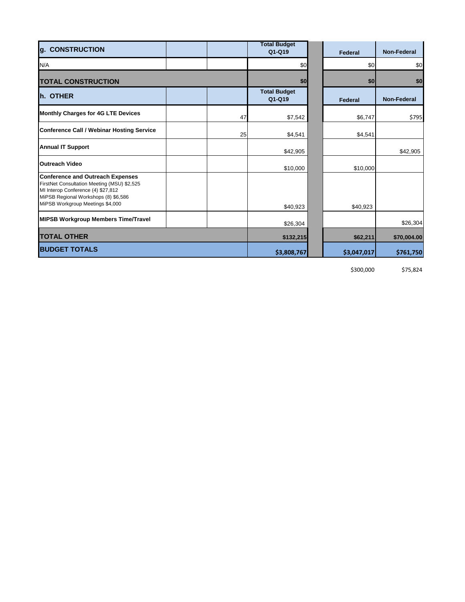| g. CONSTRUCTION                                                                                                                                                                                          |    | <b>Total Budget</b><br>Q1-Q19 | <b>Federal</b> | <b>Non-Federal</b> |
|----------------------------------------------------------------------------------------------------------------------------------------------------------------------------------------------------------|----|-------------------------------|----------------|--------------------|
| N/A                                                                                                                                                                                                      |    | \$0                           | \$0            | \$0                |
| <b>TOTAL CONSTRUCTION</b>                                                                                                                                                                                |    | \$0                           | \$0            | \$0                |
| h. OTHER                                                                                                                                                                                                 |    | <b>Total Budget</b><br>Q1-Q19 | <b>Federal</b> | <b>Non-Federal</b> |
| <b>Monthly Charges for 4G LTE Devices</b>                                                                                                                                                                | 47 | \$7,542                       | \$6,747        | \$795              |
| <b>Conference Call / Webinar Hosting Service</b>                                                                                                                                                         | 25 | \$4,541                       | \$4,541        |                    |
| <b>Annual IT Support</b>                                                                                                                                                                                 |    | \$42,905                      |                | \$42,905           |
| <b>Outreach Video</b>                                                                                                                                                                                    |    | \$10,000                      | \$10,000       |                    |
| <b>Conference and Outreach Expenses</b><br>FirstNet Consultation Meeting (MSU) \$2,525<br>MI Interop Conference (4) \$27,812<br>MiPSB Regional Workshops (8) \$6,586<br>MiPSB Workgroup Meetings \$4,000 |    | \$40,923                      | \$40,923       |                    |
| <b>MIPSB Workgroup Members Time/Travel</b>                                                                                                                                                               |    | \$26,304                      |                | \$26,304           |
| <b>TOTAL OTHER</b>                                                                                                                                                                                       |    | \$132,215                     | \$62,211       | \$70,004.00        |
| <b>BUDGET TOTALS</b>                                                                                                                                                                                     |    | \$3,808,767                   | \$3,047,017    | \$761,750          |

\$300,000 \$75,824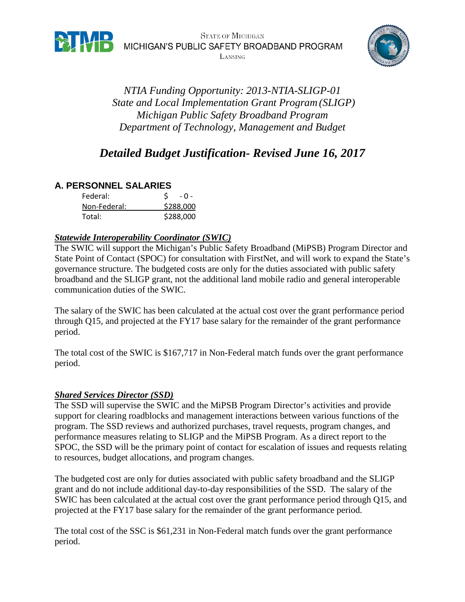

**BTATE OF MICHIGAN**<br>
MICHIGAN'S PUBLIC SAFETY BROADBAND PROGRAM

LANSING



*NTIA Funding Opportunity: 2013-NTIA-SLIGP-01 State and Local Implementation Grant Program(SLIGP) Michigan Public Safety Broadband Program Department of Technology, Management and Budget*

# *Detailed Budget Justification- Revised June 16, 2017*

# **A. PERSONNEL SALARIES**

| Federal:     | - 0 -     |
|--------------|-----------|
| Non-Federal: | \$288,000 |
| Total:       | \$288,000 |

### *Statewide Interoperability Coordinator (SWIC)*

The SWIC will support the Michigan's Public Safety Broadband (MiPSB) Program Director and State Point of Contact (SPOC) for consultation with FirstNet, and will work to expand the State's governance structure. The budgeted costs are only for the duties associated with public safety broadband and the SLIGP grant, not the additional land mobile radio and general interoperable communication duties of the SWIC.

The salary of the SWIC has been calculated at the actual cost over the grant performance period through Q15, and projected at the FY17 base salary for the remainder of the grant performance period.

The total cost of the SWIC is \$167,717 in Non-Federal match funds over the grant performance period.

### *Shared Services Director (SSD)*

The SSD will supervise the SWIC and the MiPSB Program Director's activities and provide support for clearing roadblocks and management interactions between various functions of the program. The SSD reviews and authorized purchases, travel requests, program changes, and performance measures relating to SLIGP and the MiPSB Program. As a direct report to the SPOC, the SSD will be the primary point of contact for escalation of issues and requests relating to resources, budget allocations, and program changes.

The budgeted cost are only for duties associated with public safety broadband and the SLIGP grant and do not include additional day-to-day responsibilities of the SSD. The salary of the SWIC has been calculated at the actual cost over the grant performance period through Q15, and projected at the FY17 base salary for the remainder of the grant performance period.

The total cost of the SSC is \$61,231 in Non-Federal match funds over the grant performance period.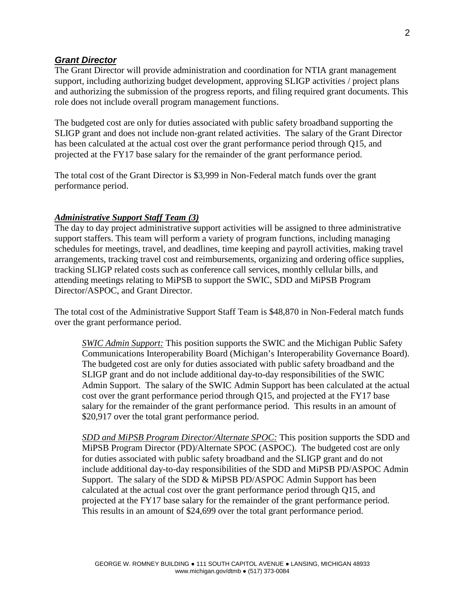#### *Grant Director*

The Grant Director will provide administration and coordination for NTIA grant management support, including authorizing budget development, approving SLIGP activities / project plans and authorizing the submission of the progress reports, and filing required grant documents. This role does not include overall program management functions.

The budgeted cost are only for duties associated with public safety broadband supporting the SLIGP grant and does not include non-grant related activities. The salary of the Grant Director has been calculated at the actual cost over the grant performance period through Q15, and projected at the FY17 base salary for the remainder of the grant performance period.

The total cost of the Grant Director is \$3,999 in Non-Federal match funds over the grant performance period.

#### *Administrative Support Staff Team (3)*

The day to day project administrative support activities will be assigned to three administrative support staffers. This team will perform a variety of program functions, including managing schedules for meetings, travel, and deadlines, time keeping and payroll activities, making travel arrangements, tracking travel cost and reimbursements, organizing and ordering office supplies, tracking SLIGP related costs such as conference call services, monthly cellular bills, and attending meetings relating to MiPSB to support the SWIC, SDD and MiPSB Program Director/ASPOC, and Grant Director.

The total cost of the Administrative Support Staff Team is \$48,870 in Non-Federal match funds over the grant performance period.

*SWIC Admin Support:* This position supports the SWIC and the Michigan Public Safety Communications Interoperability Board (Michigan's Interoperability Governance Board). The budgeted cost are only for duties associated with public safety broadband and the SLIGP grant and do not include additional day-to-day responsibilities of the SWIC Admin Support. The salary of the SWIC Admin Support has been calculated at the actual cost over the grant performance period through Q15, and projected at the FY17 base salary for the remainder of the grant performance period. This results in an amount of \$20,917 over the total grant performance period.

*SDD and MiPSB Program Director/Alternate SPOC:* This position supports the SDD and MiPSB Program Director (PD)/Alternate SPOC (ASPOC). The budgeted cost are only for duties associated with public safety broadband and the SLIGP grant and do not include additional day-to-day responsibilities of the SDD and MiPSB PD/ASPOC Admin Support. The salary of the SDD & MiPSB PD/ASPOC Admin Support has been calculated at the actual cost over the grant performance period through Q15, and projected at the FY17 base salary for the remainder of the grant performance period. This results in an amount of \$24,699 over the total grant performance period.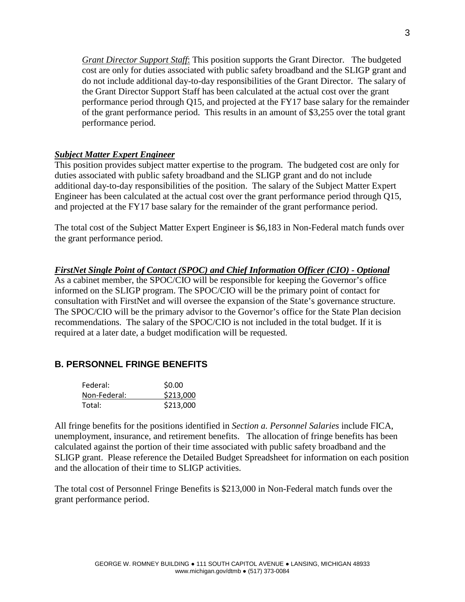*Grant Director Support Staff*: This position supports the Grant Director. The budgeted cost are only for duties associated with public safety broadband and the SLIGP grant and do not include additional day-to-day responsibilities of the Grant Director. The salary of the Grant Director Support Staff has been calculated at the actual cost over the grant performance period through Q15, and projected at the FY17 base salary for the remainder of the grant performance period. This results in an amount of \$3,255 over the total grant performance period.

### *Subject Matter Expert Engineer*

This position provides subject matter expertise to the program. The budgeted cost are only for duties associated with public safety broadband and the SLIGP grant and do not include additional day-to-day responsibilities of the position. The salary of the Subject Matter Expert Engineer has been calculated at the actual cost over the grant performance period through Q15, and projected at the FY17 base salary for the remainder of the grant performance period.

The total cost of the Subject Matter Expert Engineer is \$6,183 in Non-Federal match funds over the grant performance period.

#### *FirstNet Single Point of Contact (SPOC) and Chief Information Officer (CIO) - Optional*

As a cabinet member, the SPOC/CIO will be responsible for keeping the Governor's office informed on the SLIGP program. The SPOC/CIO will be the primary point of contact for consultation with FirstNet and will oversee the expansion of the State's governance structure. The SPOC/CIO will be the primary advisor to the Governor's office for the State Plan decision recommendations. The salary of the SPOC/CIO is not included in the total budget. If it is required at a later date, a budget modification will be requested.

### **B. PERSONNEL FRINGE BENEFITS**

| Federal:     | \$0.00    |
|--------------|-----------|
| Non-Federal: | \$213,000 |
| Total:       | \$213,000 |

All fringe benefits for the positions identified in *Section a. Personnel Salaries* include FICA, unemployment, insurance, and retirement benefits. The allocation of fringe benefits has been calculated against the portion of their time associated with public safety broadband and the SLIGP grant. Please reference the Detailed Budget Spreadsheet for information on each position and the allocation of their time to SLIGP activities.

The total cost of Personnel Fringe Benefits is \$213,000 in Non-Federal match funds over the grant performance period.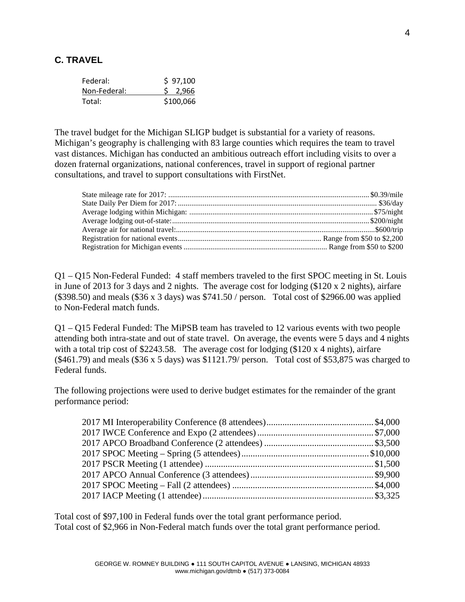## **C. TRAVEL**

| Federal:     | \$97,100  |
|--------------|-----------|
| Non-Federal: | \$2,966   |
| Total:       | \$100,066 |

The travel budget for the Michigan SLIGP budget is substantial for a variety of reasons. Michigan's geography is challenging with 83 large counties which requires the team to travel vast distances. Michigan has conducted an ambitious outreach effort including visits to over a dozen fraternal organizations, national conferences, travel in support of regional partner consultations, and travel to support consultations with FirstNet.

Q1 – Q15 Non-Federal Funded: 4 staff members traveled to the first SPOC meeting in St. Louis in June of 2013 for 3 days and 2 nights. The average cost for lodging (\$120 x 2 nights), airfare (\$398.50) and meals (\$36 x 3 days) was \$741.50 / person. Total cost of \$2966.00 was applied to Non-Federal match funds.

Q1 – Q15 Federal Funded: The MiPSB team has traveled to 12 various events with two people attending both intra-state and out of state travel. On average, the events were 5 days and 4 nights with a total trip cost of \$2243.58. The average cost for lodging (\$120 x 4 nights), airfare  $($461.79)$  and meals  $($36 \times 5 \text{ days})$  was  $$1121.79$  person. Total cost of \$53,875 was charged to Federal funds.

The following projections were used to derive budget estimates for the remainder of the grant performance period:

Total cost of \$97,100 in Federal funds over the total grant performance period. Total cost of \$2,966 in Non-Federal match funds over the total grant performance period.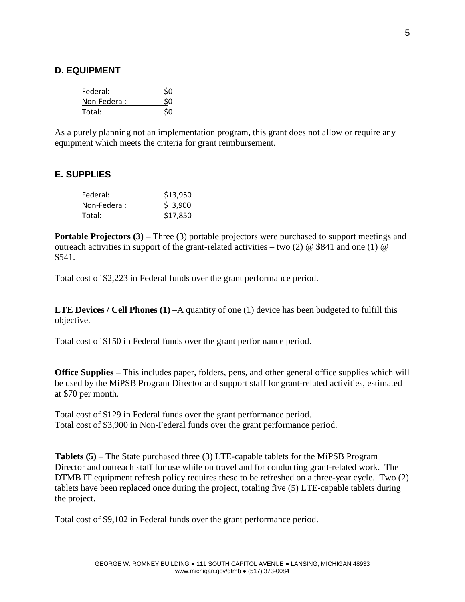### **D. EQUIPMENT**

| Federal:     | \$0 |
|--------------|-----|
| Non-Federal: | \$0 |
| Total:       | \$0 |

As a purely planning not an implementation program, this grant does not allow or require any equipment which meets the criteria for grant reimbursement.

### **E. SUPPLIES**

| Federal:     | \$13,950 |
|--------------|----------|
| Non-Federal: | \$3,900  |
| Total:       | \$17,850 |

**Portable Projectors (3)** – Three (3) portable projectors were purchased to support meetings and outreach activities in support of the grant-related activities – two (2)  $\omega$  \$841 and one (1)  $\omega$ \$541.

Total cost of \$2,223 in Federal funds over the grant performance period.

**LTE Devices / Cell Phones (1)** –A quantity of one (1) device has been budgeted to fulfill this objective.

Total cost of \$150 in Federal funds over the grant performance period.

**Office Supplies** – This includes paper, folders, pens, and other general office supplies which will be used by the MiPSB Program Director and support staff for grant-related activities, estimated at \$70 per month.

Total cost of \$129 in Federal funds over the grant performance period. Total cost of \$3,900 in Non-Federal funds over the grant performance period.

**Tablets (5)** – The State purchased three (3) LTE-capable tablets for the MiPSB Program Director and outreach staff for use while on travel and for conducting grant-related work. The DTMB IT equipment refresh policy requires these to be refreshed on a three-year cycle. Two (2) tablets have been replaced once during the project, totaling five (5) LTE-capable tablets during the project.

Total cost of \$9,102 in Federal funds over the grant performance period.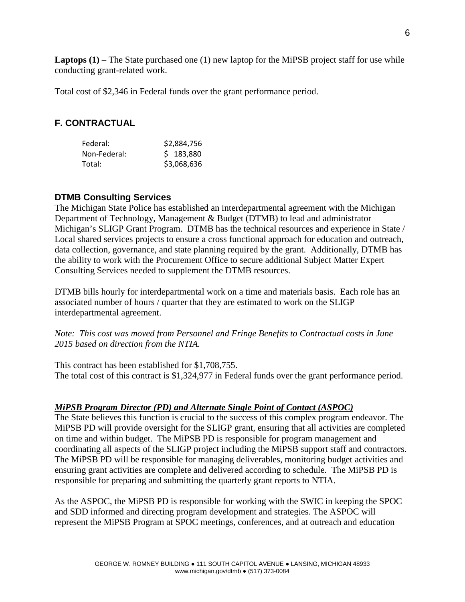**Laptops (1)** – The State purchased one (1) new laptop for the MiPSB project staff for use while conducting grant-related work.

Total cost of \$2,346 in Federal funds over the grant performance period.

# **F. CONTRACTUAL**

| Federal:     | \$2,884,756 |
|--------------|-------------|
| Non-Federal: | \$183,880   |
| Total:       | \$3,068,636 |

# **DTMB Consulting Services**

The Michigan State Police has established an interdepartmental agreement with the Michigan Department of Technology, Management & Budget (DTMB) to lead and administrator Michigan's SLIGP Grant Program. DTMB has the technical resources and experience in State / Local shared services projects to ensure a cross functional approach for education and outreach, data collection, governance, and state planning required by the grant. Additionally, DTMB has the ability to work with the Procurement Office to secure additional Subject Matter Expert Consulting Services needed to supplement the DTMB resources.

DTMB bills hourly for interdepartmental work on a time and materials basis. Each role has an associated number of hours / quarter that they are estimated to work on the SLIGP interdepartmental agreement.

*Note: This cost was moved from Personnel and Fringe Benefits to Contractual costs in June 2015 based on direction from the NTIA.* 

This contract has been established for \$1,708,755. The total cost of this contract is \$1,324,977 in Federal funds over the grant performance period.

### *MiPSB Program Director (PD) and Alternate Single Point of Contact (ASPOC)*

The State believes this function is crucial to the success of this complex program endeavor. The MiPSB PD will provide oversight for the SLIGP grant, ensuring that all activities are completed on time and within budget. The MiPSB PD is responsible for program management and coordinating all aspects of the SLIGP project including the MiPSB support staff and contractors. The MiPSB PD will be responsible for managing deliverables, monitoring budget activities and ensuring grant activities are complete and delivered according to schedule. The MiPSB PD is responsible for preparing and submitting the quarterly grant reports to NTIA.

As the ASPOC, the MiPSB PD is responsible for working with the SWIC in keeping the SPOC and SDD informed and directing program development and strategies. The ASPOC will represent the MiPSB Program at SPOC meetings, conferences, and at outreach and education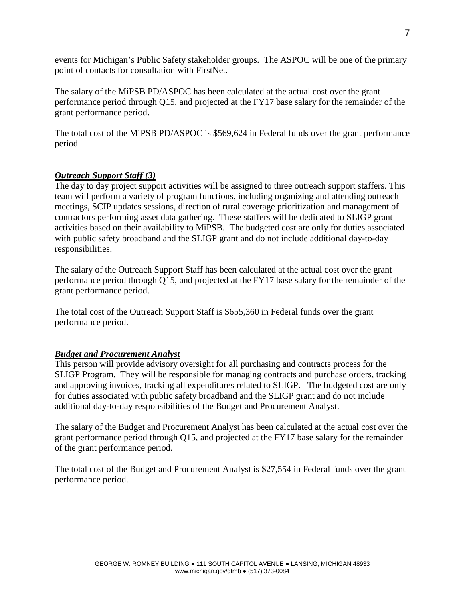events for Michigan's Public Safety stakeholder groups. The ASPOC will be one of the primary point of contacts for consultation with FirstNet.

The salary of the MiPSB PD/ASPOC has been calculated at the actual cost over the grant performance period through Q15, and projected at the FY17 base salary for the remainder of the grant performance period.

The total cost of the MiPSB PD/ASPOC is \$569,624 in Federal funds over the grant performance period.

### *Outreach Support Staff (3)*

The day to day project support activities will be assigned to three outreach support staffers. This team will perform a variety of program functions, including organizing and attending outreach meetings, SCIP updates sessions, direction of rural coverage prioritization and management of contractors performing asset data gathering. These staffers will be dedicated to SLIGP grant activities based on their availability to MiPSB. The budgeted cost are only for duties associated with public safety broadband and the SLIGP grant and do not include additional day-to-day responsibilities.

The salary of the Outreach Support Staff has been calculated at the actual cost over the grant performance period through Q15, and projected at the FY17 base salary for the remainder of the grant performance period.

The total cost of the Outreach Support Staff is \$655,360 in Federal funds over the grant performance period.

# *Budget and Procurement Analyst*

This person will provide advisory oversight for all purchasing and contracts process for the SLIGP Program. They will be responsible for managing contracts and purchase orders, tracking and approving invoices, tracking all expenditures related to SLIGP. The budgeted cost are only for duties associated with public safety broadband and the SLIGP grant and do not include additional day-to-day responsibilities of the Budget and Procurement Analyst.

The salary of the Budget and Procurement Analyst has been calculated at the actual cost over the grant performance period through Q15, and projected at the FY17 base salary for the remainder of the grant performance period.

The total cost of the Budget and Procurement Analyst is \$27,554 in Federal funds over the grant performance period.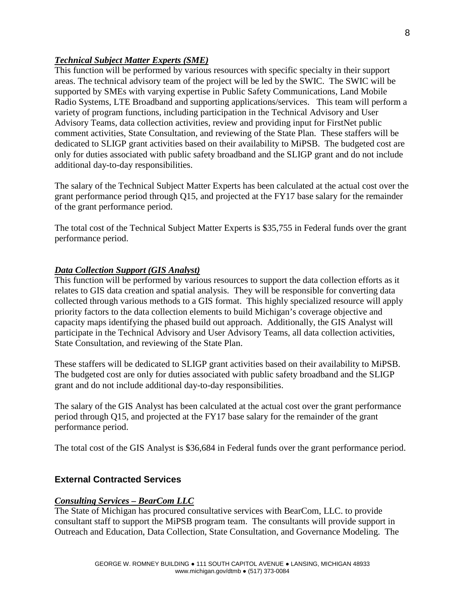### *Technical Subject Matter Experts (SME)*

This function will be performed by various resources with specific specialty in their support areas. The technical advisory team of the project will be led by the SWIC. The SWIC will be supported by SMEs with varying expertise in Public Safety Communications, Land Mobile Radio Systems, LTE Broadband and supporting applications/services. This team will perform a variety of program functions, including participation in the Technical Advisory and User Advisory Teams, data collection activities, review and providing input for FirstNet public comment activities, State Consultation, and reviewing of the State Plan. These staffers will be dedicated to SLIGP grant activities based on their availability to MiPSB. The budgeted cost are only for duties associated with public safety broadband and the SLIGP grant and do not include additional day-to-day responsibilities.

The salary of the Technical Subject Matter Experts has been calculated at the actual cost over the grant performance period through Q15, and projected at the FY17 base salary for the remainder of the grant performance period.

The total cost of the Technical Subject Matter Experts is \$35,755 in Federal funds over the grant performance period.

#### *Data Collection Support (GIS Analyst)*

This function will be performed by various resources to support the data collection efforts as it relates to GIS data creation and spatial analysis. They will be responsible for converting data collected through various methods to a GIS format. This highly specialized resource will apply priority factors to the data collection elements to build Michigan's coverage objective and capacity maps identifying the phased build out approach. Additionally, the GIS Analyst will participate in the Technical Advisory and User Advisory Teams, all data collection activities, State Consultation, and reviewing of the State Plan.

These staffers will be dedicated to SLIGP grant activities based on their availability to MiPSB. The budgeted cost are only for duties associated with public safety broadband and the SLIGP grant and do not include additional day-to-day responsibilities.

The salary of the GIS Analyst has been calculated at the actual cost over the grant performance period through Q15, and projected at the FY17 base salary for the remainder of the grant performance period.

The total cost of the GIS Analyst is \$36,684 in Federal funds over the grant performance period.

# **External Contracted Services**

#### *Consulting Services – BearCom LLC*

The State of Michigan has procured consultative services with BearCom, LLC. to provide consultant staff to support the MiPSB program team. The consultants will provide support in Outreach and Education, Data Collection, State Consultation, and Governance Modeling. The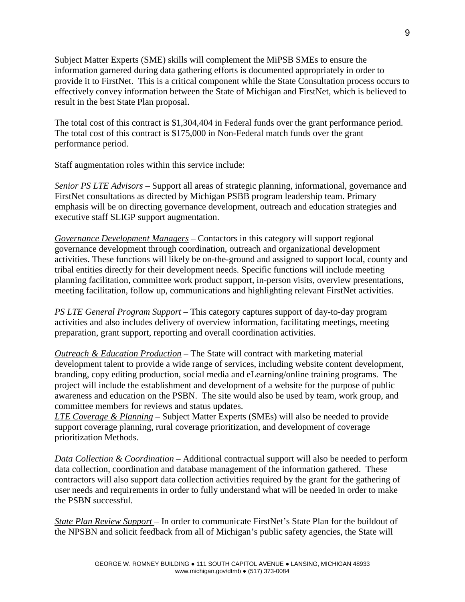Subject Matter Experts (SME) skills will complement the MiPSB SMEs to ensure the information garnered during data gathering efforts is documented appropriately in order to provide it to FirstNet. This is a critical component while the State Consultation process occurs to effectively convey information between the State of Michigan and FirstNet, which is believed to result in the best State Plan proposal.

The total cost of this contract is \$1,304,404 in Federal funds over the grant performance period. The total cost of this contract is \$175,000 in Non-Federal match funds over the grant performance period.

Staff augmentation roles within this service include:

*Senior PS LTE Advisors* – Support all areas of strategic planning, informational, governance and FirstNet consultations as directed by Michigan PSBB program leadership team. Primary emphasis will be on directing governance development, outreach and education strategies and executive staff SLIGP support augmentation.

*Governance Development Managers* – Contactors in this category will support regional governance development through coordination, outreach and organizational development activities. These functions will likely be on-the-ground and assigned to support local, county and tribal entities directly for their development needs. Specific functions will include meeting planning facilitation, committee work product support, in-person visits, overview presentations, meeting facilitation, follow up, communications and highlighting relevant FirstNet activities.

*PS LTE General Program Support* – This category captures support of day-to-day program activities and also includes delivery of overview information, facilitating meetings, meeting preparation, grant support, reporting and overall coordination activities.

*Outreach & Education Production* – The State will contract with marketing material development talent to provide a wide range of services, including website content development, branding, copy editing production, social media and eLearning/online training programs. The project will include the establishment and development of a website for the purpose of public awareness and education on the PSBN. The site would also be used by team, work group, and committee members for reviews and status updates.

*LTE Coverage & Planning* – Subject Matter Experts (SMEs) will also be needed to provide support coverage planning, rural coverage prioritization, and development of coverage prioritization Methods.

*Data Collection & Coordination* – Additional contractual support will also be needed to perform data collection, coordination and database management of the information gathered. These contractors will also support data collection activities required by the grant for the gathering of user needs and requirements in order to fully understand what will be needed in order to make the PSBN successful.

*State Plan Review Support –* In order to communicate FirstNet's State Plan for the buildout of the NPSBN and solicit feedback from all of Michigan's public safety agencies, the State will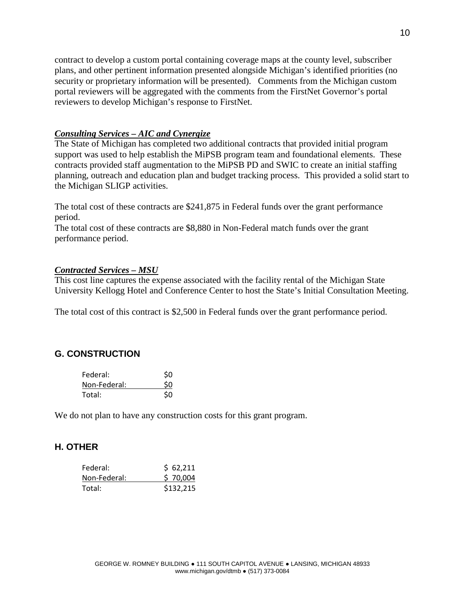contract to develop a custom portal containing coverage maps at the county level, subscriber plans, and other pertinent information presented alongside Michigan's identified priorities (no security or proprietary information will be presented). Comments from the Michigan custom portal reviewers will be aggregated with the comments from the FirstNet Governor's portal reviewers to develop Michigan's response to FirstNet.

#### *Consulting Services – AIC and Cynergize*

The State of Michigan has completed two additional contracts that provided initial program support was used to help establish the MiPSB program team and foundational elements. These contracts provided staff augmentation to the MiPSB PD and SWIC to create an initial staffing planning, outreach and education plan and budget tracking process. This provided a solid start to the Michigan SLIGP activities.

The total cost of these contracts are \$241,875 in Federal funds over the grant performance period.

The total cost of these contracts are \$8,880 in Non-Federal match funds over the grant performance period.

#### *Contracted Services – MSU*

This cost line captures the expense associated with the facility rental of the Michigan State University Kellogg Hotel and Conference Center to host the State's Initial Consultation Meeting.

The total cost of this contract is \$2,500 in Federal funds over the grant performance period.

# **G. CONSTRUCTION**

| Federal:     | \$0 |
|--------------|-----|
| Non-Federal: | \$0 |
| Total:       | \$0 |

We do not plan to have any construction costs for this grant program.

### **H. OTHER**

| Federal:     | \$62,211  |
|--------------|-----------|
| Non-Federal: | \$70,004  |
| Total:       | \$132,215 |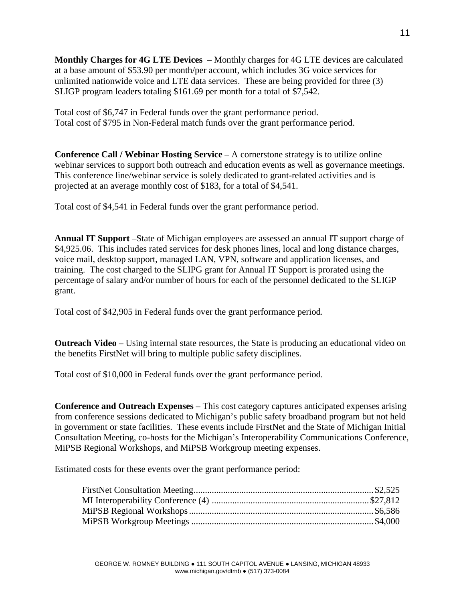**Monthly Charges for 4G LTE Devices** – Monthly charges for 4G LTE devices are calculated at a base amount of \$53.90 per month/per account, which includes 3G voice services for unlimited nationwide voice and LTE data services. These are being provided for three (3) SLIGP program leaders totaling \$161.69 per month for a total of \$7,542.

Total cost of \$6,747 in Federal funds over the grant performance period. Total cost of \$795 in Non-Federal match funds over the grant performance period.

**Conference Call / Webinar Hosting Service** – A cornerstone strategy is to utilize online webinar services to support both outreach and education events as well as governance meetings. This conference line/webinar service is solely dedicated to grant-related activities and is projected at an average monthly cost of \$183, for a total of \$4,541.

Total cost of \$4,541 in Federal funds over the grant performance period.

**Annual IT Support** –State of Michigan employees are assessed an annual IT support charge of \$4,925.06. This includes rated services for desk phones lines, local and long distance charges, voice mail, desktop support, managed LAN, VPN, software and application licenses, and training. The cost charged to the SLIPG grant for Annual IT Support is prorated using the percentage of salary and/or number of hours for each of the personnel dedicated to the SLIGP grant.

Total cost of \$42,905 in Federal funds over the grant performance period.

**Outreach Video** – Using internal state resources, the State is producing an educational video on the benefits FirstNet will bring to multiple public safety disciplines.

Total cost of \$10,000 in Federal funds over the grant performance period.

**Conference and Outreach Expenses** – This cost category captures anticipated expenses arising from conference sessions dedicated to Michigan's public safety broadband program but not held in government or state facilities. These events include FirstNet and the State of Michigan Initial Consultation Meeting, co-hosts for the Michigan's Interoperability Communications Conference, MiPSB Regional Workshops, and MiPSB Workgroup meeting expenses.

Estimated costs for these events over the grant performance period: